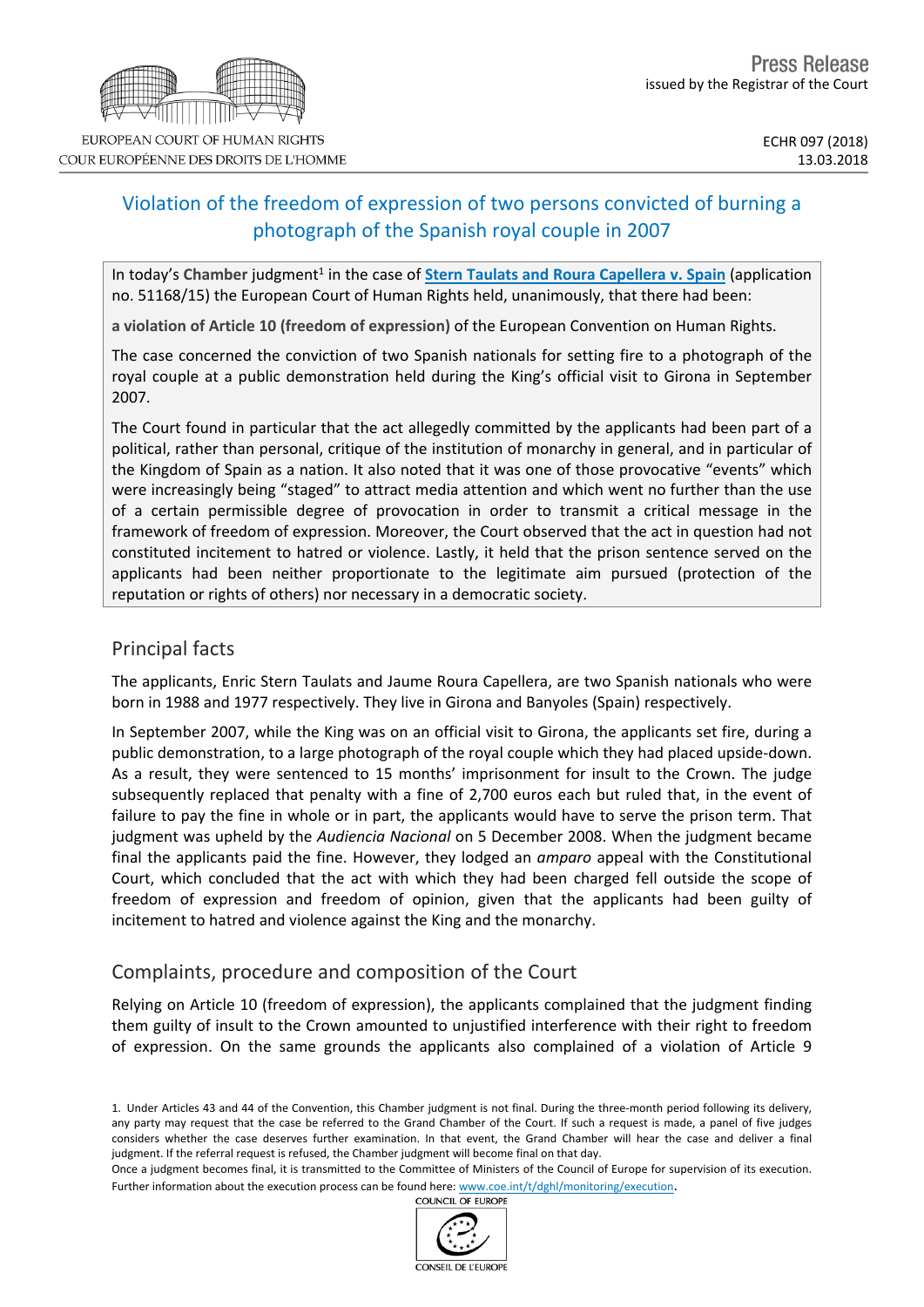# Violation of the freedom of expression of two persons convicted of burning a photograph of the Spanish royal couple in 2007

In today's Chamber judgment<sup>1</sup> in the case of **Stern Taulats and Roura [Capellera](http://hudoc.echr.coe.int/eng?i=001-181719) v. Spain** (application no. 51168/15) the European Court of Human Rights held, unanimously, that there had been:

**a violation of Article 10 (freedom of expression)** of the European Convention on Human Rights.

The case concerned the conviction of two Spanish nationals for setting fire to a photograph of the royal couple at a public demonstration held during the King's official visit to Girona in September 2007.

The Court found in particular that the act allegedly committed by the applicants had been part of a political, rather than personal, critique of the institution of monarchy in general, and in particular of the Kingdom of Spain as a nation. It also noted that it was one of those provocative "events" which were increasingly being "staged" to attract media attention and which went no further than the use of a certain permissible degree of provocation in order to transmit a critical message in the framework of freedom of expression. Moreover, the Court observed that the act in question had not constituted incitement to hatred or violence. Lastly, it held that the prison sentence served on the applicants had been neither proportionate to the legitimate aim pursued (protection of the reputation or rights of others) nor necessary in a democratic society.

## Principal facts

The applicants, Enric Stern Taulats and Jaume Roura Capellera, are two Spanish nationals who were born in 1988 and 1977 respectively. They live in Girona and Banyoles (Spain) respectively.

In September 2007, while the King was on an official visit to Girona, the applicants set fire, during a public demonstration, to a large photograph of the royal couple which they had placed upside-down. As a result, they were sentenced to 15 months' imprisonment for insult to the Crown. The judge subsequently replaced that penalty with a fine of 2,700 euros each but ruled that, in the event of failure to pay the fine in whole or in part, the applicants would have to serve the prison term. That judgment was upheld by the *Audiencia Nacional* on 5 December 2008. When the judgment became final the applicants paid the fine. However, they lodged an *amparo* appeal with the Constitutional Court, which concluded that the act with which they had been charged fell outside the scope of freedom of expression and freedom of opinion, given that the applicants had been guilty of incitement to hatred and violence against the King and the monarchy.

## Complaints, procedure and composition of the Court

Relying on Article 10 (freedom of expression), the applicants complained that the judgment finding them guilty of insult to the Crown amounted to unjustified interference with their right to freedom of expression. On the same grounds the applicants also complained of a violation of Article 9

1. Under Articles 43 and 44 of the Convention, this Chamber judgment is not final. During the three-month period following its delivery, any party may request that the case be referred to the Grand Chamber of the Court. If such a request is made, a panel of five judges considers whether the case deserves further examination. In that event, the Grand Chamber will hear the case and deliver a final judgment. If the referral request is refused, the Chamber judgment will become final on that day.

Once a judgment becomes final, it is transmitted to the Committee of Ministers of the Council of Europe for supervision of its execution. Further information about the execution process can be found here: [www.coe.int/t/dghl/monitoring/execution](http://www.coe.int/t/dghl/monitoring/execution).<br>COUNCIL OF EUROPE



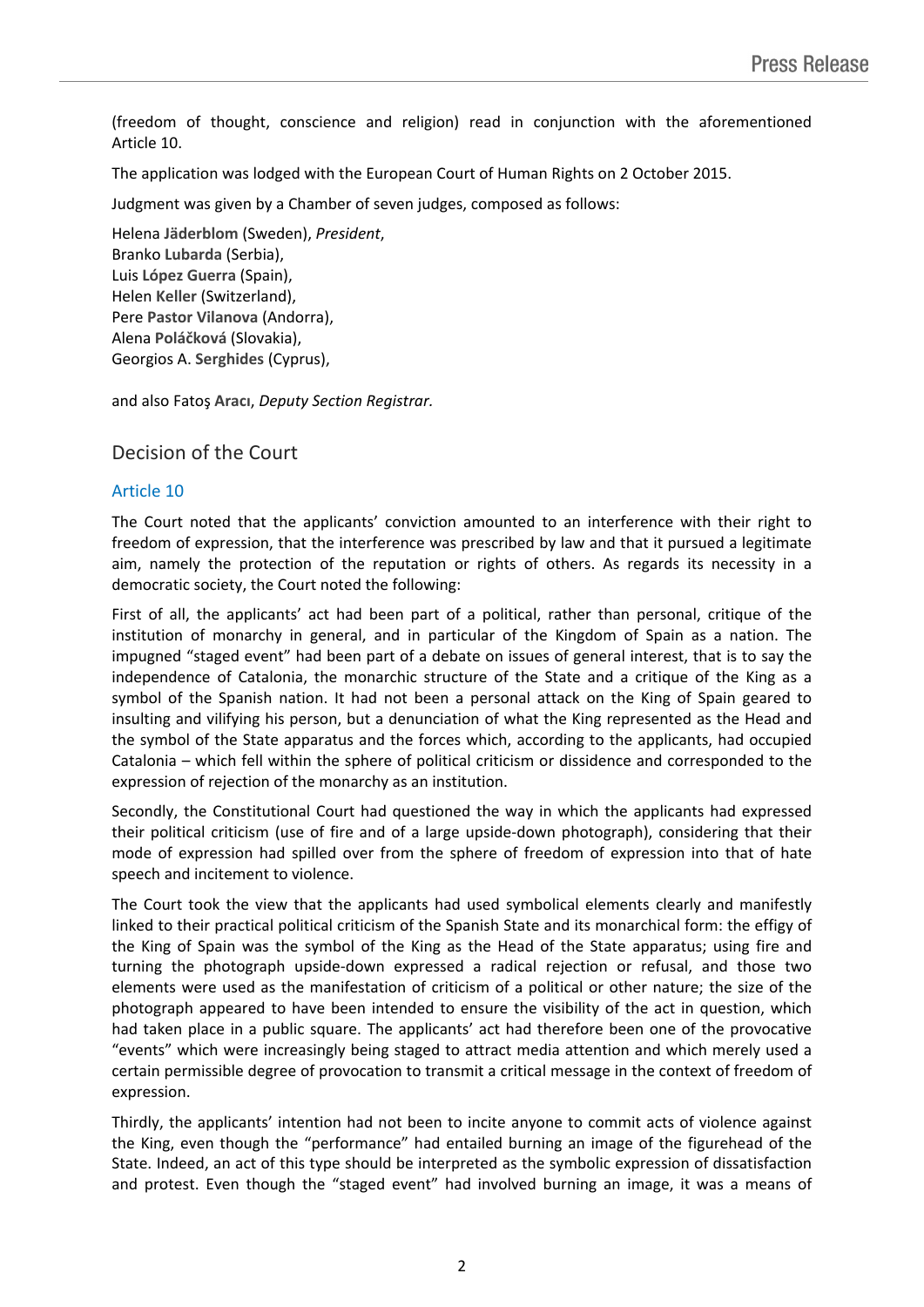(freedom of thought, conscience and religion) read in conjunction with the aforementioned Article 10.

The application was lodged with the European Court of Human Rights on 2 October 2015.

Judgment was given by a Chamber of seven judges, composed as follows:

Helena **Jäderblom** (Sweden), *President*, Branko **Lubarda** (Serbia), Luis **López Guerra** (Spain), Helen **Keller** (Switzerland), Pere **Pastor Vilanova** (Andorra), Alena **Poláčková** (Slovakia), Georgios A. **Serghides** (Cyprus),

and also Fatoş **Aracı**, *Deputy Section Registrar.*

Decision of the Court

### Article 10

The Court noted that the applicants' conviction amounted to an interference with their right to freedom of expression, that the interference was prescribed by law and that it pursued a legitimate aim, namely the protection of the reputation or rights of others. As regards its necessity in a democratic society, the Court noted the following:

First of all, the applicants' act had been part of a political, rather than personal, critique of the institution of monarchy in general, and in particular of the Kingdom of Spain as a nation. The impugned "staged event" had been part of a debate on issues of general interest, that is to say the independence of Catalonia, the monarchic structure of the State and a critique of the King as a symbol of the Spanish nation. It had not been a personal attack on the King of Spain geared to insulting and vilifying his person, but a denunciation of what the King represented as the Head and the symbol of the State apparatus and the forces which, according to the applicants, had occupied Catalonia – which fell within the sphere of political criticism or dissidence and corresponded to the expression of rejection of the monarchy as an institution.

Secondly, the Constitutional Court had questioned the way in which the applicants had expressed their political criticism (use of fire and of a large upside-down photograph), considering that their mode of expression had spilled over from the sphere of freedom of expression into that of hate speech and incitement to violence.

The Court took the view that the applicants had used symbolical elements clearly and manifestly linked to their practical political criticism of the Spanish State and its monarchical form: the effigy of the King of Spain was the symbol of the King as the Head of the State apparatus; using fire and turning the photograph upside-down expressed a radical rejection or refusal, and those two elements were used as the manifestation of criticism of a political or other nature; the size of the photograph appeared to have been intended to ensure the visibility of the act in question, which had taken place in a public square. The applicants' act had therefore been one of the provocative "events" which were increasingly being staged to attract media attention and which merely used a certain permissible degree of provocation to transmit a critical message in the context of freedom of expression.

Thirdly, the applicants' intention had not been to incite anyone to commit acts of violence against the King, even though the "performance" had entailed burning an image of the figurehead of the State. Indeed, an act of this type should be interpreted as the symbolic expression of dissatisfaction and protest. Even though the "staged event" had involved burning an image, it was a means of